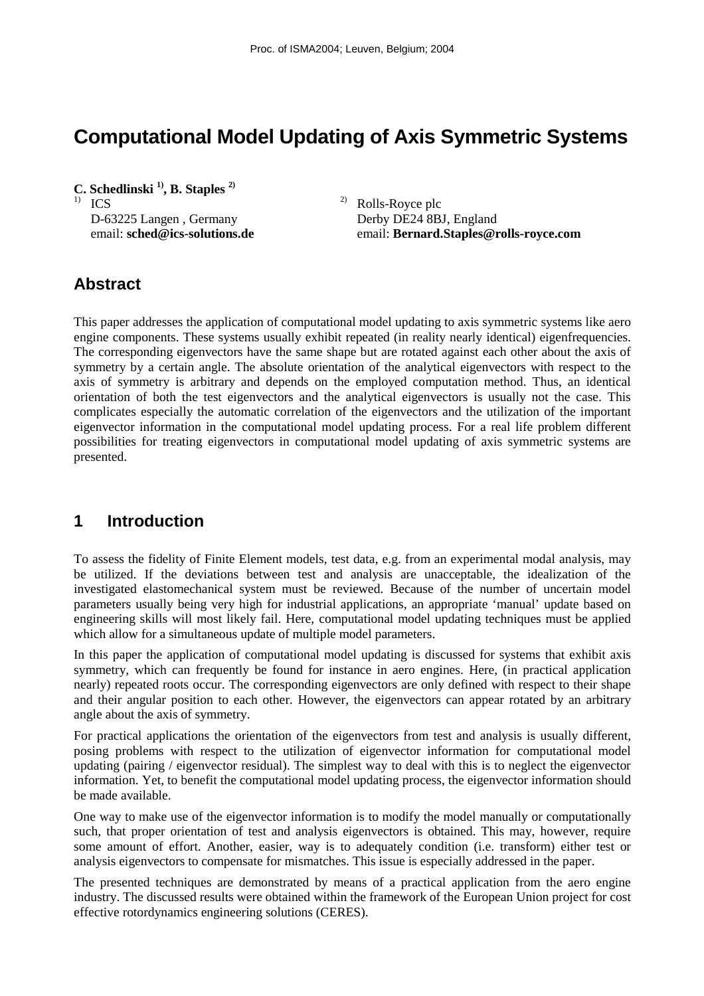# **Computational Model Updating of Axis Symmetric Systems**

**C. Schedlinski 1), B. Staples 2)**  $\frac{2}{2}$  Rolls-Royce plc D-63225 Langen, Germany Derby DE24 8BJ, England

email: **sched@ics-solutions.de** email: **Bernard.Staples@rolls-royce.com** 

# **Abstract**

This paper addresses the application of computational model updating to axis symmetric systems like aero engine components. These systems usually exhibit repeated (in reality nearly identical) eigenfrequencies. The corresponding eigenvectors have the same shape but are rotated against each other about the axis of symmetry by a certain angle. The absolute orientation of the analytical eigenvectors with respect to the axis of symmetry is arbitrary and depends on the employed computation method. Thus, an identical orientation of both the test eigenvectors and the analytical eigenvectors is usually not the case. This complicates especially the automatic correlation of the eigenvectors and the utilization of the important eigenvector information in the computational model updating process. For a real life problem different possibilities for treating eigenvectors in computational model updating of axis symmetric systems are presented.

## **1 Introduction**

To assess the fidelity of Finite Element models, test data, e.g. from an experimental modal analysis, may be utilized. If the deviations between test and analysis are unacceptable, the idealization of the investigated elastomechanical system must be reviewed. Because of the number of uncertain model parameters usually being very high for industrial applications, an appropriate 'manual' update based on engineering skills will most likely fail. Here, computational model updating techniques must be applied which allow for a simultaneous update of multiple model parameters.

In this paper the application of computational model updating is discussed for systems that exhibit axis symmetry, which can frequently be found for instance in aero engines. Here, (in practical application nearly) repeated roots occur. The corresponding eigenvectors are only defined with respect to their shape and their angular position to each other. However, the eigenvectors can appear rotated by an arbitrary angle about the axis of symmetry.

For practical applications the orientation of the eigenvectors from test and analysis is usually different, posing problems with respect to the utilization of eigenvector information for computational model updating (pairing / eigenvector residual). The simplest way to deal with this is to neglect the eigenvector information. Yet, to benefit the computational model updating process, the eigenvector information should be made available.

One way to make use of the eigenvector information is to modify the model manually or computationally such, that proper orientation of test and analysis eigenvectors is obtained. This may, however, require some amount of effort. Another, easier, way is to adequately condition (i.e. transform) either test or analysis eigenvectors to compensate for mismatches. This issue is especially addressed in the paper.

The presented techniques are demonstrated by means of a practical application from the aero engine industry. The discussed results were obtained within the framework of the European Union project for cost effective rotordynamics engineering solutions (CERES).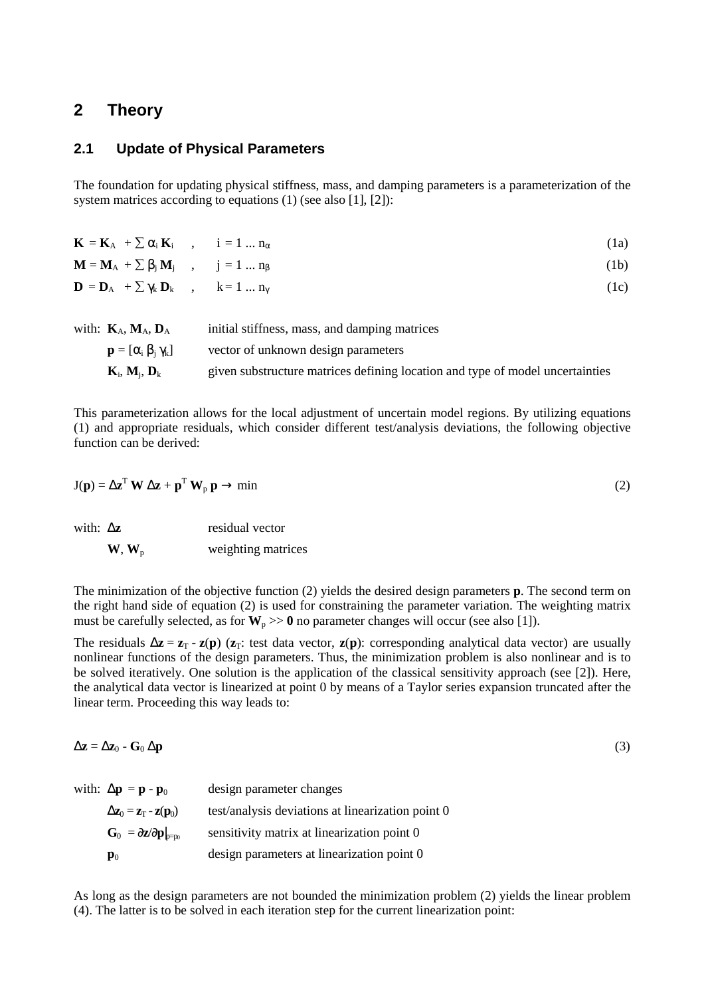## **2 Theory**

#### **2.1 Update of Physical Parameters**

The foundation for updating physical stiffness, mass, and damping parameters is a parameterization of the system matrices according to equations (1) (see also [1], [2]):

| $\mathbf{K} = \mathbf{K}_{A} + \sum \alpha_{i} \mathbf{K}_{i}$ , $i = 1  n_{\alpha}$ |  | (1a) |
|--------------------------------------------------------------------------------------|--|------|
| $\mathbf{M} = \mathbf{M}_{A} + \sum \beta_{i} \mathbf{M}_{i}$ , $j = 1  n_{\beta}$   |  | (1b) |
| $\mathbf{D} = \mathbf{D}_A + \sum \gamma_k \mathbf{D}_k$ , $k = 1  n_{\gamma}$       |  | (1c) |
|                                                                                      |  |      |

| with: $\mathbf{K}_{A}, \mathbf{M}_{A}, \mathbf{D}_{A}$ | initial stiffness, mass, and damping matrices                                 |
|--------------------------------------------------------|-------------------------------------------------------------------------------|
| $\mathbf{p} = [\alpha_i \beta_i \gamma_k]$             | vector of unknown design parameters                                           |
| $\mathbf{K}_{i}, \mathbf{M}_{i}, \mathbf{D}_{k}$       | given substructure matrices defining location and type of model uncertainties |

This parameterization allows for the local adjustment of uncertain model regions. By utilizing equations (1) and appropriate residuals, which consider different test/analysis deviations, the following objective function can be derived:

$$
J(p) = \Delta z^T W \Delta z + p^T W_p p \rightarrow min
$$
 (2)

| with: $\Delta z$ |                                       | residual vector    |
|------------------|---------------------------------------|--------------------|
|                  | $\mathbf{W}, \mathbf{W}_{\mathrm{p}}$ | weighting matrices |

The minimization of the objective function (2) yields the desired design parameters **p**. The second term on the right hand side of equation (2) is used for constraining the parameter variation. The weighting matrix must be carefully selected, as for  $W_p \gg 0$  no parameter changes will occur (see also [1]).

The residuals  $\Delta z = z_T - z(p)$  ( $z_T$ : test data vector,  $z(p)$ : corresponding analytical data vector) are usually nonlinear functions of the design parameters. Thus, the minimization problem is also nonlinear and is to be solved iteratively. One solution is the application of the classical sensitivity approach (see [2]). Here, the analytical data vector is linearized at point 0 by means of a Taylor series expansion truncated after the linear term. Proceeding this way leads to:

$$
\Delta z = \Delta z_0 - G_0 \Delta p \tag{3}
$$

| with: $\Delta p = p - p_0$                                               | design parameter changes                          |
|--------------------------------------------------------------------------|---------------------------------------------------|
| $\Delta z_0 = z_T - z(p_0)$                                              | test/analysis deviations at linearization point 0 |
| $\mathbf{G}_0 = \partial \mathbf{z}/\partial \mathbf{p}$ <sub>p=p0</sub> | sensitivity matrix at linearization point 0       |
| $\mathbf{p}_0$                                                           | design parameters at linearization point 0        |

As long as the design parameters are not bounded the minimization problem (2) yields the linear problem (4). The latter is to be solved in each iteration step for the current linearization point: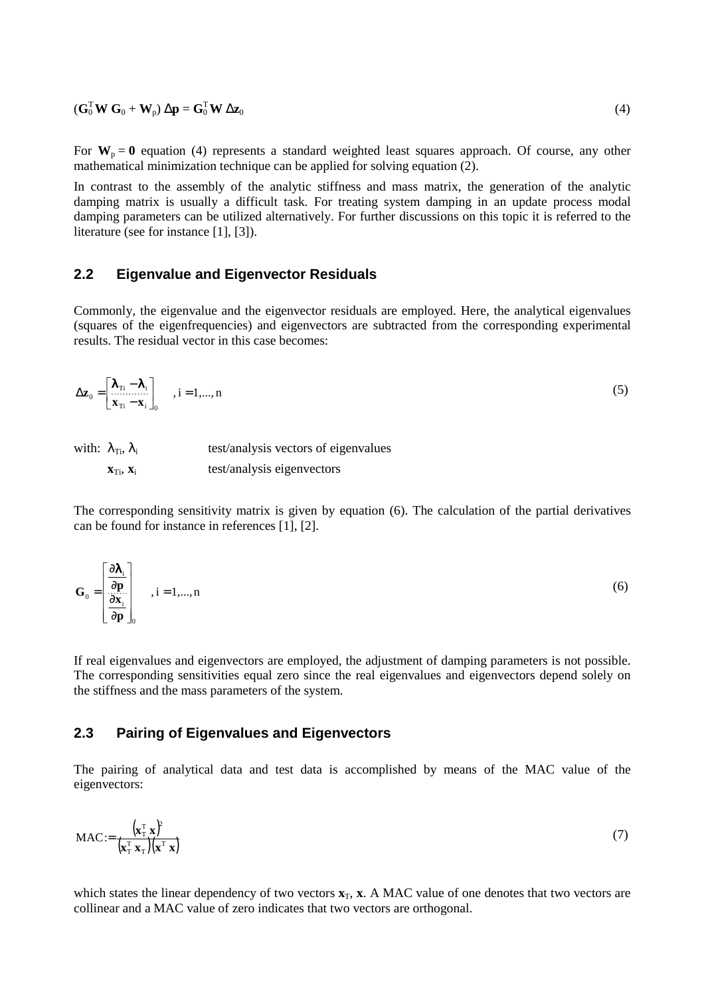$(\mathbf{G}_0^{\mathrm{T}} \mathbf{W} \mathbf{G}_0 + \mathbf{W}_{\mathrm{p}}) \Delta \mathbf{p} = \mathbf{G}_0^{\mathrm{T}}$  $\int_0^T \mathbf{W} \, \Delta \mathbf{z}_0$  (4)

For  $W_p = 0$  equation (4) represents a standard weighted least squares approach. Of course, any other mathematical minimization technique can be applied for solving equation (2).

In contrast to the assembly of the analytic stiffness and mass matrix, the generation of the analytic damping matrix is usually a difficult task. For treating system damping in an update process modal damping parameters can be utilized alternatively. For further discussions on this topic it is referred to the literature (see for instance [1], [3]).

#### **2.2 Eigenvalue and Eigenvector Residuals**

Commonly, the eigenvalue and the eigenvector residuals are employed. Here, the analytical eigenvalues (squares of the eigenfrequencies) and eigenvectors are subtracted from the corresponding experimental results. The residual vector in this case becomes:

$$
\Delta \mathbf{z}_0 = \begin{bmatrix} \lambda_{\text{Ti}} - \lambda_i \\ \mathbf{x}_{\text{Ti}} - \mathbf{x}_i \end{bmatrix}_0, \quad i = 1, ..., n
$$
 (5)

| with: $\lambda_{\text{Ti}}$ , $\lambda_{\text{i}}$ | test/analysis vectors of eigenvalues |
|----------------------------------------------------|--------------------------------------|
| $\mathbf{X}_{\text{Ti}}, \mathbf{X}_{\text{i}}$    | test/analysis eigenvectors           |

The corresponding sensitivity matrix is given by equation (6). The calculation of the partial derivatives can be found for instance in references [1], [2].

$$
\mathbf{G}_0 = \begin{bmatrix} \frac{\partial \lambda_i}{\partial \mathbf{p}} \\ \frac{\partial \mathbf{x}_i}{\partial \mathbf{p}} \end{bmatrix}_{0}, i = 1,..., n
$$
 (6)

If real eigenvalues and eigenvectors are employed, the adjustment of damping parameters is not possible. The corresponding sensitivities equal zero since the real eigenvalues and eigenvectors depend solely on the stiffness and the mass parameters of the system.

#### **2.3 Pairing of Eigenvalues and Eigenvectors**

The pairing of analytical data and test data is accomplished by means of the MAC value of the eigenvectors:

$$
\text{MAC} := \frac{\left(\mathbf{x}_1^{\mathrm{T}} \ \mathbf{x}\right)^2}{\left(\mathbf{x}_1^{\mathrm{T}} \ \mathbf{x}_1\right)\left(\mathbf{x}^{\mathrm{T}} \ \mathbf{x}\right)}
$$
(7)

which states the linear dependency of two vectors  $\mathbf{x}_T$ ,  $\mathbf{x}$ . A MAC value of one denotes that two vectors are collinear and a MAC value of zero indicates that two vectors are orthogonal.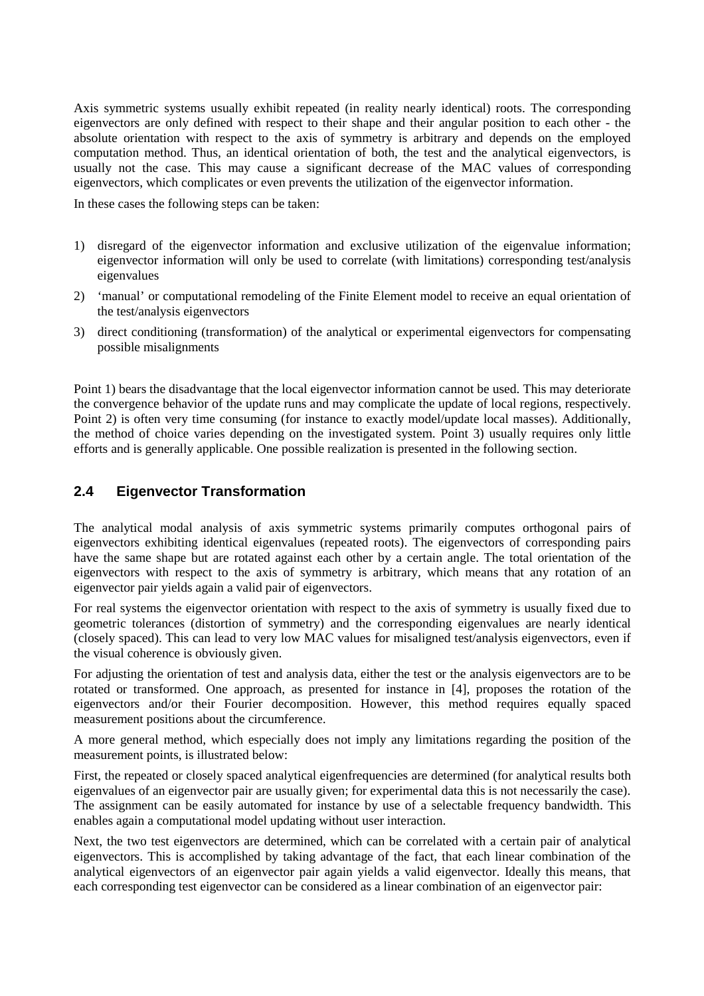Axis symmetric systems usually exhibit repeated (in reality nearly identical) roots. The corresponding eigenvectors are only defined with respect to their shape and their angular position to each other - the absolute orientation with respect to the axis of symmetry is arbitrary and depends on the employed computation method. Thus, an identical orientation of both, the test and the analytical eigenvectors, is usually not the case. This may cause a significant decrease of the MAC values of corresponding eigenvectors, which complicates or even prevents the utilization of the eigenvector information.

In these cases the following steps can be taken:

- 1) disregard of the eigenvector information and exclusive utilization of the eigenvalue information; eigenvector information will only be used to correlate (with limitations) corresponding test/analysis eigenvalues
- 2) 'manual' or computational remodeling of the Finite Element model to receive an equal orientation of the test/analysis eigenvectors
- 3) direct conditioning (transformation) of the analytical or experimental eigenvectors for compensating possible misalignments

Point 1) bears the disadvantage that the local eigenvector information cannot be used. This may deteriorate the convergence behavior of the update runs and may complicate the update of local regions, respectively. Point 2) is often very time consuming (for instance to exactly model/update local masses). Additionally, the method of choice varies depending on the investigated system. Point 3) usually requires only little efforts and is generally applicable. One possible realization is presented in the following section.

#### **2.4 Eigenvector Transformation**

The analytical modal analysis of axis symmetric systems primarily computes orthogonal pairs of eigenvectors exhibiting identical eigenvalues (repeated roots). The eigenvectors of corresponding pairs have the same shape but are rotated against each other by a certain angle. The total orientation of the eigenvectors with respect to the axis of symmetry is arbitrary, which means that any rotation of an eigenvector pair yields again a valid pair of eigenvectors.

For real systems the eigenvector orientation with respect to the axis of symmetry is usually fixed due to geometric tolerances (distortion of symmetry) and the corresponding eigenvalues are nearly identical (closely spaced). This can lead to very low MAC values for misaligned test/analysis eigenvectors, even if the visual coherence is obviously given.

For adjusting the orientation of test and analysis data, either the test or the analysis eigenvectors are to be rotated or transformed. One approach, as presented for instance in [4], proposes the rotation of the eigenvectors and/or their Fourier decomposition. However, this method requires equally spaced measurement positions about the circumference.

A more general method, which especially does not imply any limitations regarding the position of the measurement points, is illustrated below:

First, the repeated or closely spaced analytical eigenfrequencies are determined (for analytical results both eigenvalues of an eigenvector pair are usually given; for experimental data this is not necessarily the case). The assignment can be easily automated for instance by use of a selectable frequency bandwidth. This enables again a computational model updating without user interaction.

Next, the two test eigenvectors are determined, which can be correlated with a certain pair of analytical eigenvectors. This is accomplished by taking advantage of the fact, that each linear combination of the analytical eigenvectors of an eigenvector pair again yields a valid eigenvector. Ideally this means, that each corresponding test eigenvector can be considered as a linear combination of an eigenvector pair: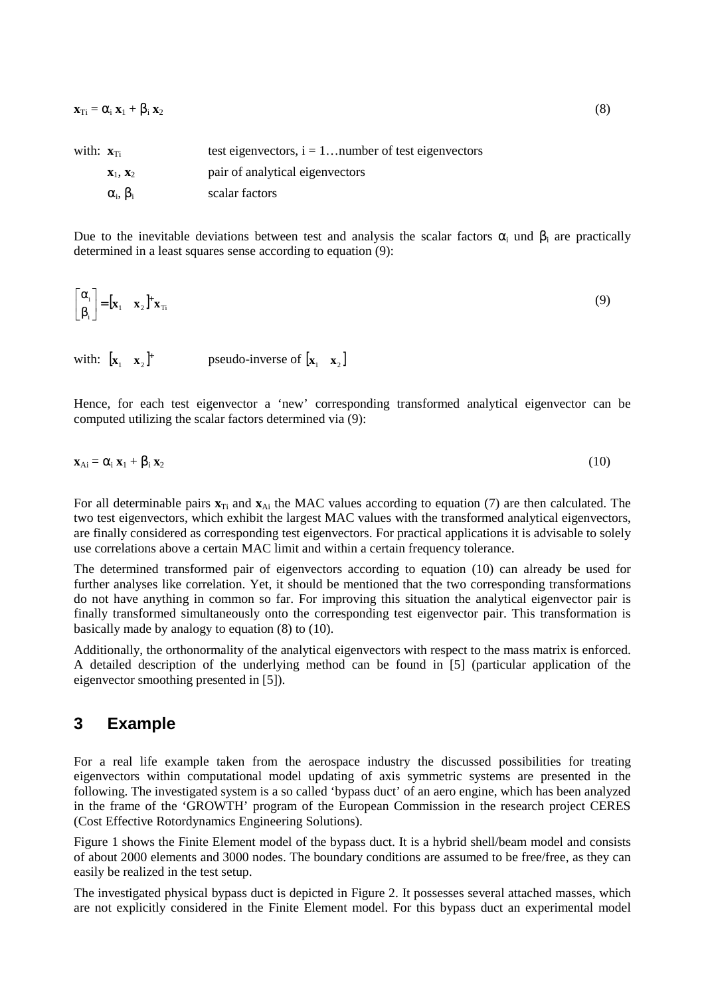$\mathbf{x}_{\text{Ti}} = \alpha_i \mathbf{x}_1 + \beta_i \mathbf{x}_2$  (8)

| with: $\mathbf{x}_{\text{Ti}}$ |                                 | test eigenvectors, $i = 1$ number of test eigenvectors |
|--------------------------------|---------------------------------|--------------------------------------------------------|
|                                | $\mathbf{X}_1$ , $\mathbf{X}_2$ | pair of analytical eigenvectors                        |
|                                | $\alpha_i, \beta_i$             | scalar factors                                         |

Due to the inevitable deviations between test and analysis the scalar factors  $\alpha_i$  und  $\beta_i$  are practically determined in a least squares sense according to equation (9):

$$
\begin{bmatrix} \alpha_i \\ \beta_i \end{bmatrix} = [\mathbf{x}_1 \quad \mathbf{x}_2]^{\dagger} \mathbf{x}_{\text{Ti}} \tag{9}
$$

with:  $\begin{bmatrix} \mathbf{x}_1 & \mathbf{x}_2 \end{bmatrix}^+$  pseudo-inverse of  $\begin{bmatrix} \mathbf{x}_1 & \mathbf{x}_2 \end{bmatrix}$ 

Hence, for each test eigenvector a 'new' corresponding transformed analytical eigenvector can be computed utilizing the scalar factors determined via (9):

$$
\mathbf{x}_{\mathrm{Ai}} = \alpha_{i} \, \mathbf{x}_{1} + \beta_{i} \, \mathbf{x}_{2} \tag{10}
$$

For all determinable pairs  $\mathbf{x}_{Ti}$  and  $\mathbf{x}_{Ai}$  the MAC values according to equation (7) are then calculated. The two test eigenvectors, which exhibit the largest MAC values with the transformed analytical eigenvectors, are finally considered as corresponding test eigenvectors. For practical applications it is advisable to solely use correlations above a certain MAC limit and within a certain frequency tolerance.

The determined transformed pair of eigenvectors according to equation (10) can already be used for further analyses like correlation. Yet, it should be mentioned that the two corresponding transformations do not have anything in common so far. For improving this situation the analytical eigenvector pair is finally transformed simultaneously onto the corresponding test eigenvector pair. This transformation is basically made by analogy to equation (8) to (10).

Additionally, the orthonormality of the analytical eigenvectors with respect to the mass matrix is enforced. A detailed description of the underlying method can be found in [5] (particular application of the eigenvector smoothing presented in [5]).

#### **3 Example**

For a real life example taken from the aerospace industry the discussed possibilities for treating eigenvectors within computational model updating of axis symmetric systems are presented in the following. The investigated system is a so called 'bypass duct' of an aero engine, which has been analyzed in the frame of the 'GROWTH' program of the European Commission in the research project CERES (Cost Effective Rotordynamics Engineering Solutions).

Figure 1 shows the Finite Element model of the bypass duct. It is a hybrid shell/beam model and consists of about 2000 elements and 3000 nodes. The boundary conditions are assumed to be free/free, as they can easily be realized in the test setup.

The investigated physical bypass duct is depicted in Figure 2. It possesses several attached masses, which are not explicitly considered in the Finite Element model. For this bypass duct an experimental model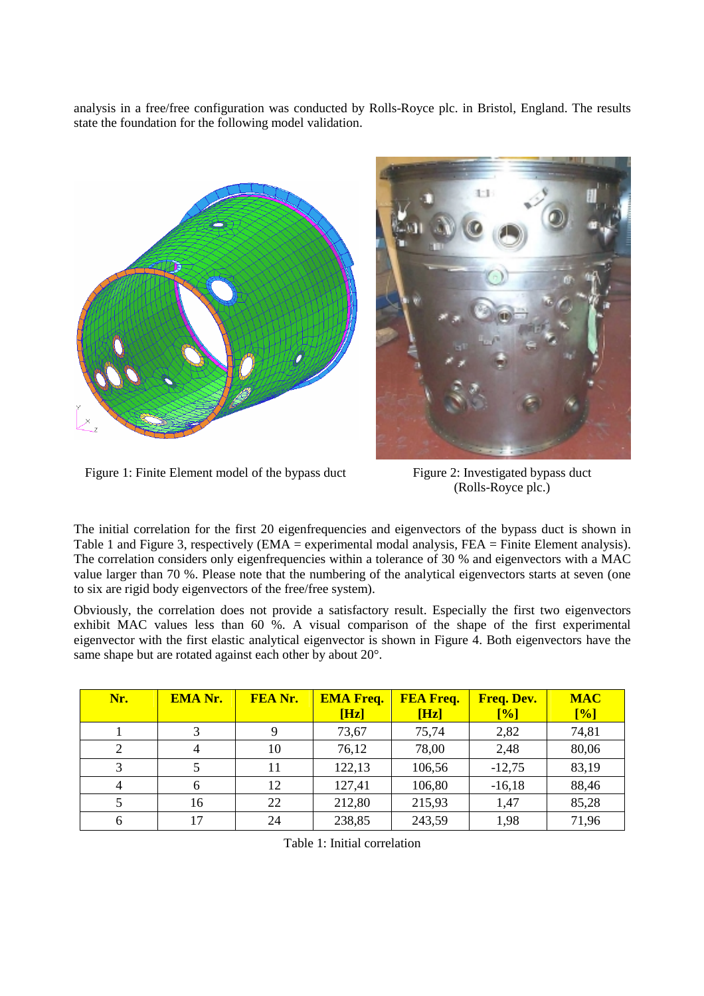analysis in a free/free configuration was conducted by Rolls-Royce plc. in Bristol, England. The results state the foundation for the following model validation.





Figure 1: Finite Element model of the bypass duct Figure 2: Investigated bypass duct

(Rolls-Royce plc.)

The initial correlation for the first 20 eigenfrequencies and eigenvectors of the bypass duct is shown in Table 1 and Figure 3, respectively (EMA = experimental modal analysis, FEA = Finite Element analysis). The correlation considers only eigenfrequencies within a tolerance of 30 % and eigenvectors with a MAC value larger than 70 %. Please note that the numbering of the analytical eigenvectors starts at seven (one to six are rigid body eigenvectors of the free/free system).

Obviously, the correlation does not provide a satisfactory result. Especially the first two eigenvectors exhibit MAC values less than 60 %. A visual comparison of the shape of the first experimental eigenvector with the first elastic analytical eigenvector is shown in Figure 4. Both eigenvectors have the same shape but are rotated against each other by about 20°.

| Nr. | <b>EMA Nr.</b> | FEA Nr. | <b>EMA Freq.</b><br>[Hz] | <b>FEA Freq.</b><br>[Hz] | <b>Freq. Dev.</b><br>[%] | <b>MAC</b><br>[%] |
|-----|----------------|---------|--------------------------|--------------------------|--------------------------|-------------------|
|     | 3              | 9       | 73,67                    | 75,74                    | 2,82                     | 74,81             |
|     |                | 10      | 76,12                    | 78,00                    | 2,48                     | 80,06             |
|     |                | 11      | 122,13                   | 106,56                   | $-12,75$                 | 83,19             |
| 4   | 6              | 12      | 127,41                   | 106,80                   | $-16,18$                 | 88,46             |
|     | 16             | 22      | 212,80                   | 215,93                   | 1,47                     | 85,28             |
| 6   | 17             | 24      | 238,85                   | 243,59                   | 1,98                     | 71,96             |

Table 1: Initial correlation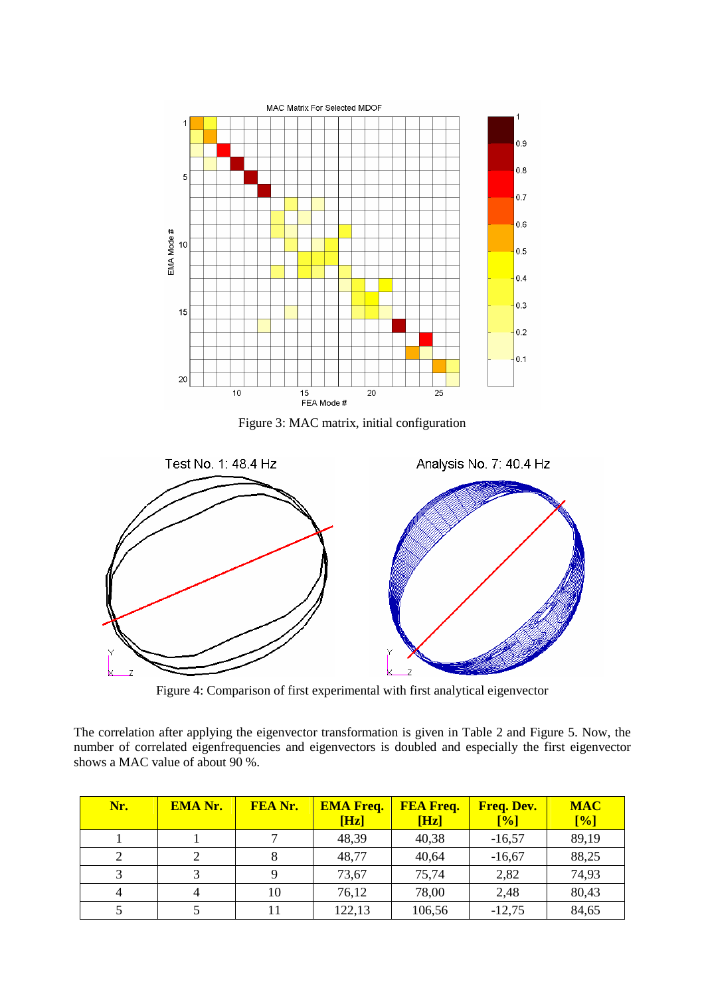

Figure 3: MAC matrix, initial configuration



Figure 4: Comparison of first experimental with first analytical eigenvector

The correlation after applying the eigenvector transformation is given in Table 2 and Figure 5. Now, the number of correlated eigenfrequencies and eigenvectors is doubled and especially the first eigenvector shows a MAC value of about 90 %.

| Nr. | <b>EMA Nr.</b> | FEA Nr. | <b>EMA Freq.</b><br>[Hz] | <b>FEA Freq.</b><br>[Hz] | Freq. Dev.<br>[%] | <b>MAC</b><br>[%] |
|-----|----------------|---------|--------------------------|--------------------------|-------------------|-------------------|
|     |                |         | 48,39                    | 40,38                    | $-16,57$          | 89,19             |
|     |                |         | 48,77                    | 40,64                    | $-16,67$          | 88,25             |
|     |                |         | 73,67                    | 75,74                    | 2,82              | 74,93             |
|     |                | 10      | 76,12                    | 78,00                    | 2,48              | 80,43             |
|     |                |         | 122,13                   | 106,56                   | $-12,75$          | 84,65             |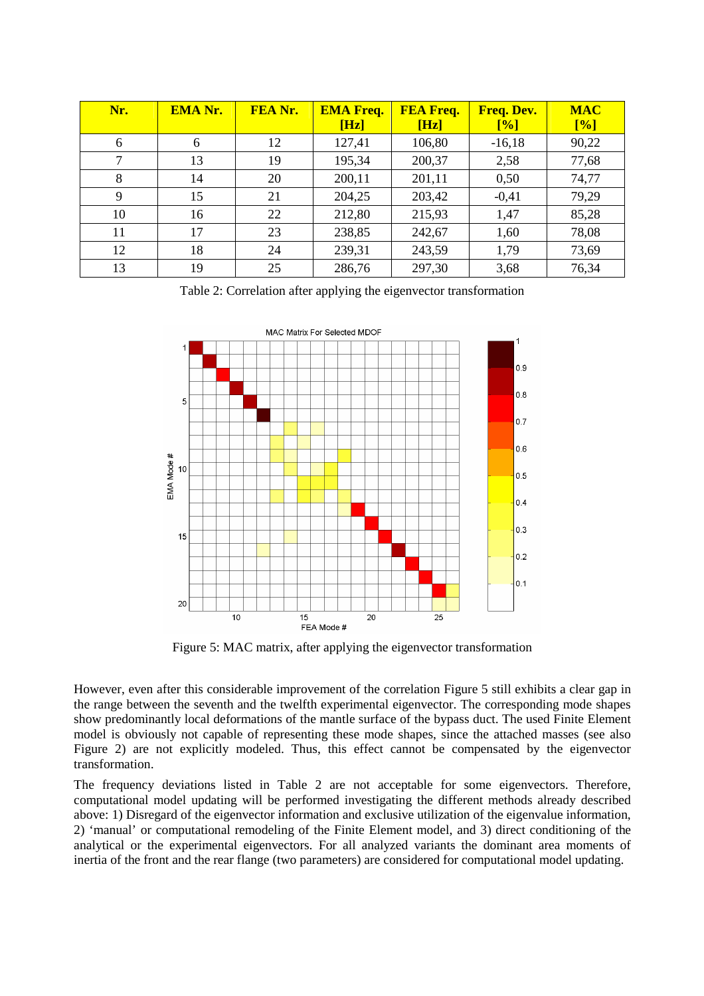| Nr. | <b>EMA Nr.</b> | <b>FEA Nr.</b> | <b>EMA Freq.</b><br>[Hz] | <b>FEA Freq.</b><br>[Hz] | Freq. Dev.<br>[%] | <b>MAC</b><br>[%] |
|-----|----------------|----------------|--------------------------|--------------------------|-------------------|-------------------|
| 6   | 6              | 12             | 127,41                   | 106,80                   | $-16,18$          | 90,22             |
|     | 13             | 19             | 195,34                   | 200,37                   | 2,58              | 77,68             |
| 8   | 14             | 20             | 200,11                   | 201,11                   | 0,50              | 74,77             |
| 9   | 15             | 21             | 204,25                   | 203,42                   | $-0,41$           | 79,29             |
| 10  | 16             | 22             | 212,80                   | 215,93                   | 1,47              | 85,28             |
| 11  | 17             | 23             | 238,85                   | 242,67                   | 1,60              | 78,08             |
| 12  | 18             | 24             | 239,31                   | 243,59                   | 1,79              | 73,69             |
| 13  | 19             | 25             | 286,76                   | 297,30                   | 3,68              | 76,34             |

Table 2: Correlation after applying the eigenvector transformation



Figure 5: MAC matrix, after applying the eigenvector transformation

However, even after this considerable improvement of the correlation Figure 5 still exhibits a clear gap in the range between the seventh and the twelfth experimental eigenvector. The corresponding mode shapes show predominantly local deformations of the mantle surface of the bypass duct. The used Finite Element model is obviously not capable of representing these mode shapes, since the attached masses (see also Figure 2) are not explicitly modeled. Thus, this effect cannot be compensated by the eigenvector transformation.

The frequency deviations listed in Table 2 are not acceptable for some eigenvectors. Therefore, computational model updating will be performed investigating the different methods already described above: 1) Disregard of the eigenvector information and exclusive utilization of the eigenvalue information, 2) 'manual' or computational remodeling of the Finite Element model, and 3) direct conditioning of the analytical or the experimental eigenvectors. For all analyzed variants the dominant area moments of inertia of the front and the rear flange (two parameters) are considered for computational model updating.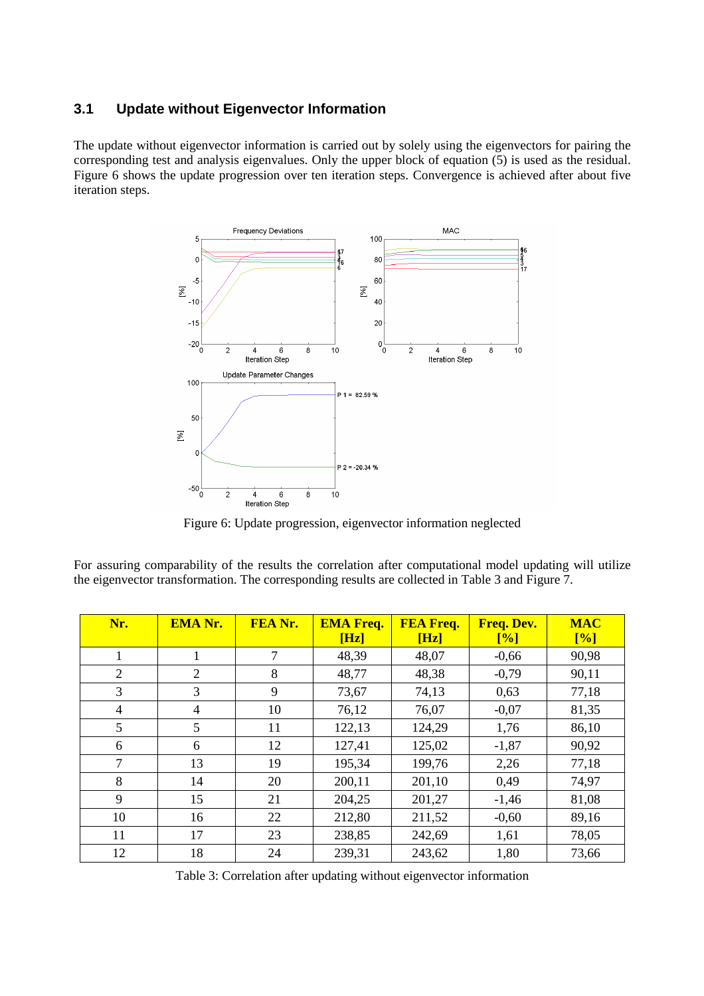#### **3.1 Update without Eigenvector Information**

The update without eigenvector information is carried out by solely using the eigenvectors for pairing the corresponding test and analysis eigenvalues. Only the upper block of equation (5) is used as the residual. Figure 6 shows the update progression over ten iteration steps. Convergence is achieved after about five iteration steps.



Figure 6: Update progression, eigenvector information neglected

For assuring comparability of the results the correlation after computational model updating will utilize the eigenvector transformation. The corresponding results are collected in Table 3 and Figure 7.

| Nr.            | <b>EMA Nr.</b> | FEA Nr. | <b>EMA Freq.</b><br>[Hz] | <b>FEA Freq.</b><br>[Hz] | <b>Freq. Dev.</b><br>[%] | <b>MAC</b><br>[%] |
|----------------|----------------|---------|--------------------------|--------------------------|--------------------------|-------------------|
| 1              |                | 7       | 48,39                    | 48,07                    | $-0,66$                  | 90,98             |
| $\overline{2}$ | 2              | 8       | 48,77                    | 48,38                    | $-0,79$                  | 90,11             |
| 3              | 3              | 9       | 73,67                    | 74,13                    | 0,63                     | 77,18             |
| 4              | 4              | 10      | 76,12                    | 76,07                    | $-0,07$                  | 81,35             |
| 5              | 5              | 11      | 122,13                   | 124,29                   | 1,76                     | 86,10             |
| 6              | 6              | 12      | 127,41                   | 125,02                   | $-1,87$                  | 90,92             |
| $\overline{7}$ | 13             | 19      | 195,34                   | 199,76                   | 2,26                     | 77,18             |
| 8              | 14             | 20      | 200,11                   | 201,10                   | 0,49                     | 74,97             |
| 9              | 15             | 21      | 204,25                   | 201,27                   | $-1,46$                  | 81,08             |
| 10             | 16             | 22      | 212,80                   | 211,52                   | $-0,60$                  | 89,16             |
| 11             | 17             | 23      | 238,85                   | 242,69                   | 1,61                     | 78,05             |
| 12             | 18             | 24      | 239,31                   | 243,62                   | 1,80                     | 73,66             |

Table 3: Correlation after updating without eigenvector information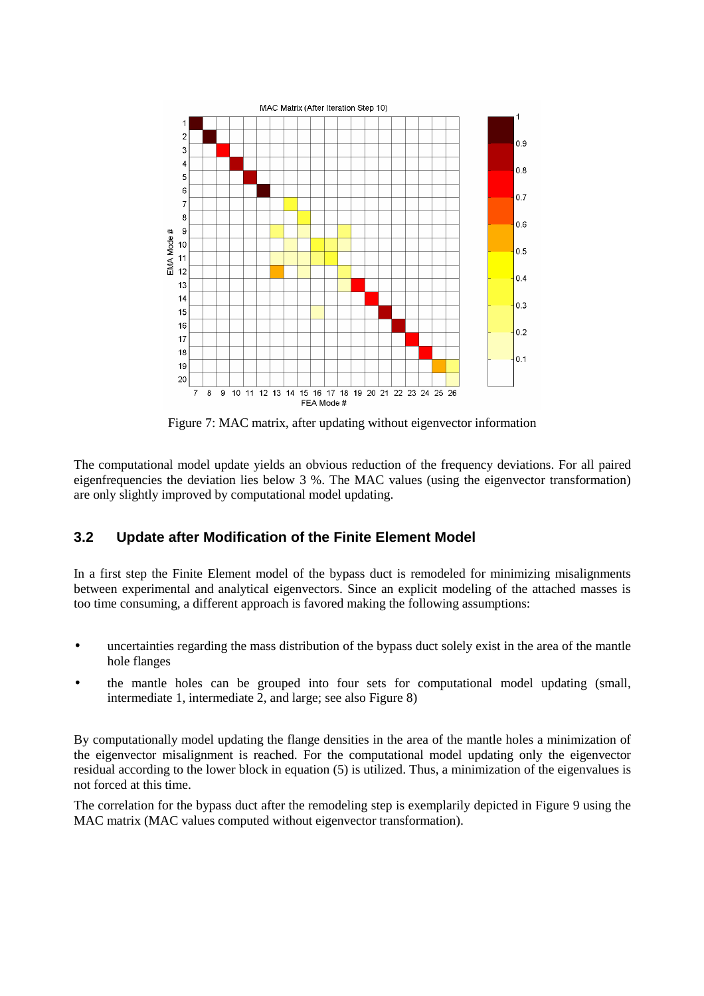

Figure 7: MAC matrix, after updating without eigenvector information

The computational model update yields an obvious reduction of the frequency deviations. For all paired eigenfrequencies the deviation lies below 3 %. The MAC values (using the eigenvector transformation) are only slightly improved by computational model updating.

#### **3.2 Update after Modification of the Finite Element Model**

In a first step the Finite Element model of the bypass duct is remodeled for minimizing misalignments between experimental and analytical eigenvectors. Since an explicit modeling of the attached masses is too time consuming, a different approach is favored making the following assumptions:

- uncertainties regarding the mass distribution of the bypass duct solely exist in the area of the mantle hole flanges
- the mantle holes can be grouped into four sets for computational model updating (small, intermediate 1, intermediate 2, and large; see also Figure 8)

By computationally model updating the flange densities in the area of the mantle holes a minimization of the eigenvector misalignment is reached. For the computational model updating only the eigenvector residual according to the lower block in equation (5) is utilized. Thus, a minimization of the eigenvalues is not forced at this time.

The correlation for the bypass duct after the remodeling step is exemplarily depicted in Figure 9 using the MAC matrix (MAC values computed without eigenvector transformation).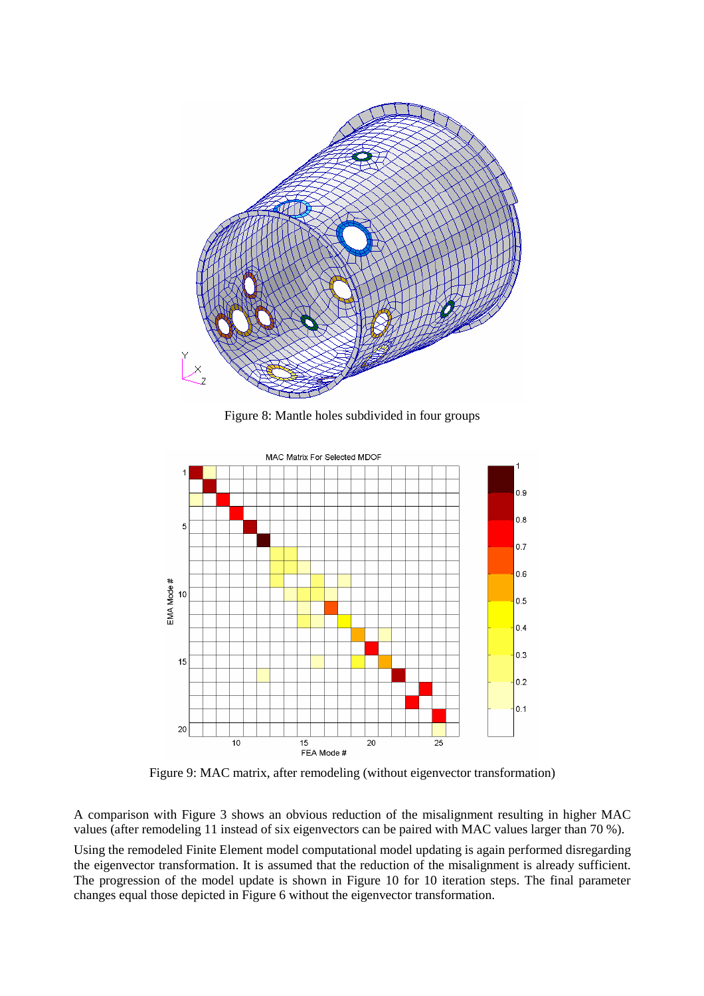

Figure 8: Mantle holes subdivided in four groups



Figure 9: MAC matrix, after remodeling (without eigenvector transformation)

A comparison with Figure 3 shows an obvious reduction of the misalignment resulting in higher MAC values (after remodeling 11 instead of six eigenvectors can be paired with MAC values larger than 70 %).

Using the remodeled Finite Element model computational model updating is again performed disregarding the eigenvector transformation. It is assumed that the reduction of the misalignment is already sufficient. The progression of the model update is shown in Figure 10 for 10 iteration steps. The final parameter changes equal those depicted in Figure 6 without the eigenvector transformation.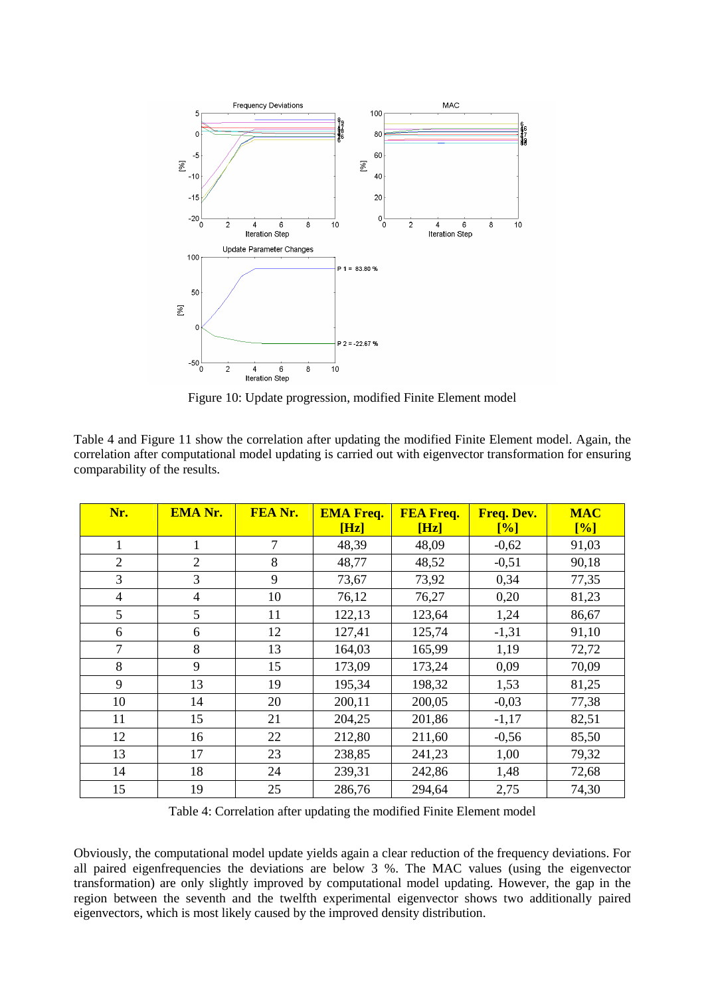

Figure 10: Update progression, modified Finite Element model

Table 4 and Figure 11 show the correlation after updating the modified Finite Element model. Again, the correlation after computational model updating is carried out with eigenvector transformation for ensuring comparability of the results.

| Nr.            | <b>EMA Nr.</b> | FEA Nr. | <b>EMA Freq.</b><br>[Hz] | <b>FEA Freq.</b><br>[Hz] | Freq. Dev.<br>[%] | <b>MAC</b><br>[%] |
|----------------|----------------|---------|--------------------------|--------------------------|-------------------|-------------------|
| $\mathbf{1}$   | 1              | 7       | 48,39                    | 48,09                    | $-0,62$           | 91,03             |
| $\overline{2}$ | $\overline{2}$ | 8       | 48,77                    | 48,52                    | $-0,51$           | 90,18             |
| 3              | 3              | 9       | 73,67                    | 73,92                    | 0,34              | 77,35             |
| $\overline{4}$ | $\overline{4}$ | 10      | 76,12                    | 76,27                    | 0,20              | 81,23             |
| 5              | 5              | 11      | 122,13                   | 123,64                   | 1,24              | 86,67             |
| 6              | 6              | 12      | 127,41                   | 125,74                   | $-1,31$           | 91,10             |
| 7              | 8              | 13      | 164,03                   | 165,99                   | 1,19              | 72,72             |
| 8              | 9              | 15      | 173,09                   | 173,24                   | 0,09              | 70,09             |
| 9              | 13             | 19      | 195,34                   | 198,32                   | 1,53              | 81,25             |
| 10             | 14             | 20      | 200,11                   | 200,05                   | $-0,03$           | 77,38             |
| 11             | 15             | 21      | 204,25                   | 201,86                   | $-1,17$           | 82,51             |
| 12             | 16             | 22      | 212,80                   | 211,60                   | $-0,56$           | 85,50             |
| 13             | 17             | 23      | 238,85                   | 241,23                   | 1,00              | 79,32             |
| 14             | 18             | 24      | 239,31                   | 242,86                   | 1,48              | 72,68             |
| 15             | 19             | 25      | 286,76                   | 294,64                   | 2,75              | 74,30             |

Table 4: Correlation after updating the modified Finite Element model

Obviously, the computational model update yields again a clear reduction of the frequency deviations. For all paired eigenfrequencies the deviations are below 3 %. The MAC values (using the eigenvector transformation) are only slightly improved by computational model updating. However, the gap in the region between the seventh and the twelfth experimental eigenvector shows two additionally paired eigenvectors, which is most likely caused by the improved density distribution.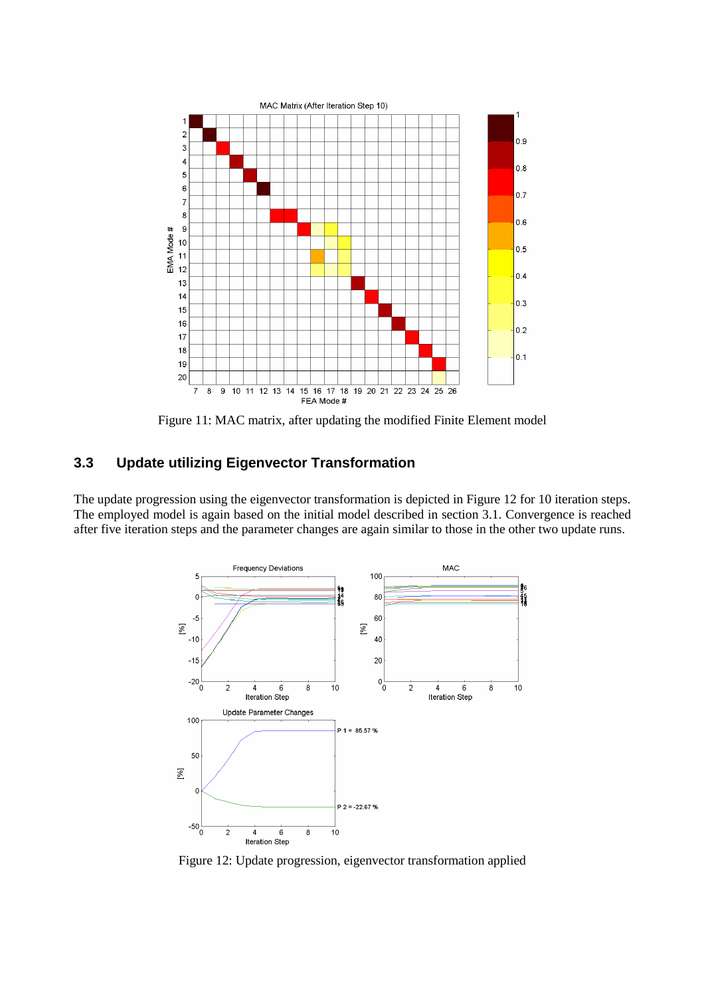

Figure 11: MAC matrix, after updating the modified Finite Element model

## **3.3 Update utilizing Eigenvector Transformation**

The update progression using the eigenvector transformation is depicted in Figure 12 for 10 iteration steps. The employed model is again based on the initial model described in section 3.1. Convergence is reached after five iteration steps and the parameter changes are again similar to those in the other two update runs.



Figure 12: Update progression, eigenvector transformation applied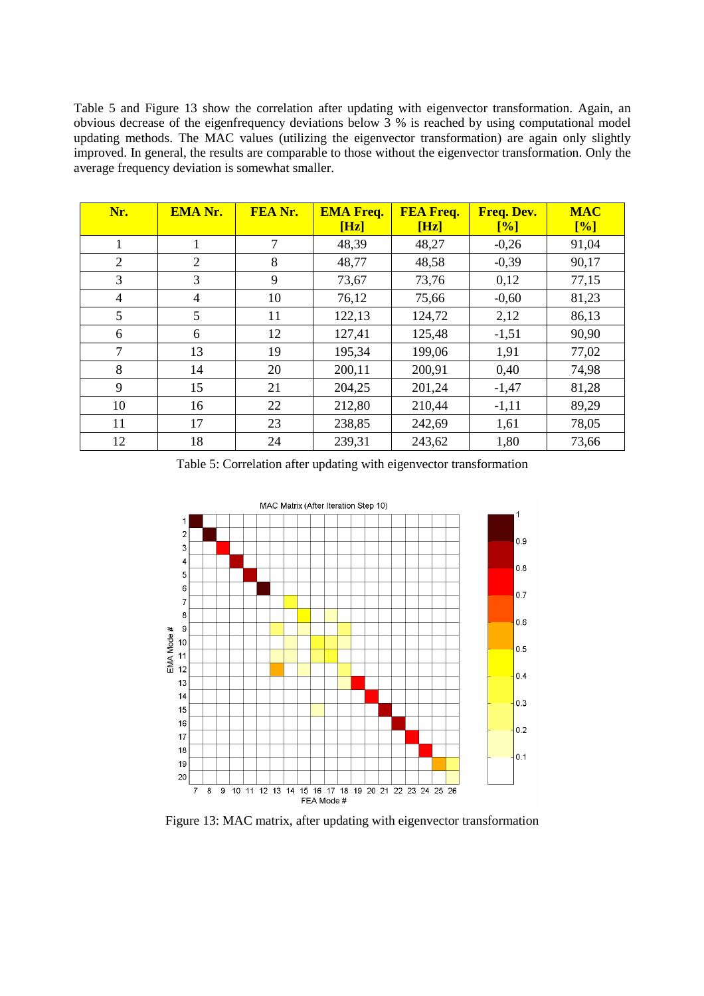Table 5 and Figure 13 show the correlation after updating with eigenvector transformation. Again, an obvious decrease of the eigenfrequency deviations below 3 % is reached by using computational model updating methods. The MAC values (utilizing the eigenvector transformation) are again only slightly improved. In general, the results are comparable to those without the eigenvector transformation. Only the average frequency deviation is somewhat smaller.

| Nr.            | <b>EMA Nr.</b> | FEA Nr. | <b>EMA Freq.</b><br>[Hz] | <b>FEA Freq.</b><br>[Hz] | Freq. Dev.<br>$\lceil\% \rceil$ | <b>MAC</b><br>[%] |
|----------------|----------------|---------|--------------------------|--------------------------|---------------------------------|-------------------|
|                |                | 7       | 48,39                    | 48,27                    | $-0,26$                         | 91,04             |
| $\overline{2}$ | 2              | 8       | 48,77                    | 48,58                    | $-0,39$                         | 90,17             |
| 3              | 3              | 9       | 73,67                    | 73,76                    | 0,12                            | 77,15             |
| $\overline{4}$ | 4              | 10      | 76,12                    | 75,66                    | $-0,60$                         | 81,23             |
| 5              | 5              | 11      | 122,13                   | 124,72                   | 2,12                            | 86,13             |
| 6              | 6              | 12      | 127,41                   | 125,48                   | $-1,51$                         | 90,90             |
| 7              | 13             | 19      | 195,34                   | 199,06                   | 1,91                            | 77,02             |
| 8              | 14             | 20      | 200,11                   | 200,91                   | 0,40                            | 74,98             |
| 9              | 15             | 21      | 204,25                   | 201,24                   | $-1,47$                         | 81,28             |
| 10             | 16             | 22      | 212,80                   | 210,44                   | $-1,11$                         | 89,29             |
| 11             | 17             | 23      | 238,85                   | 242,69                   | 1,61                            | 78,05             |
| 12             | 18             | 24      | 239,31                   | 243,62                   | 1,80                            | 73,66             |

Table 5: Correlation after updating with eigenvector transformation



Figure 13: MAC matrix, after updating with eigenvector transformation